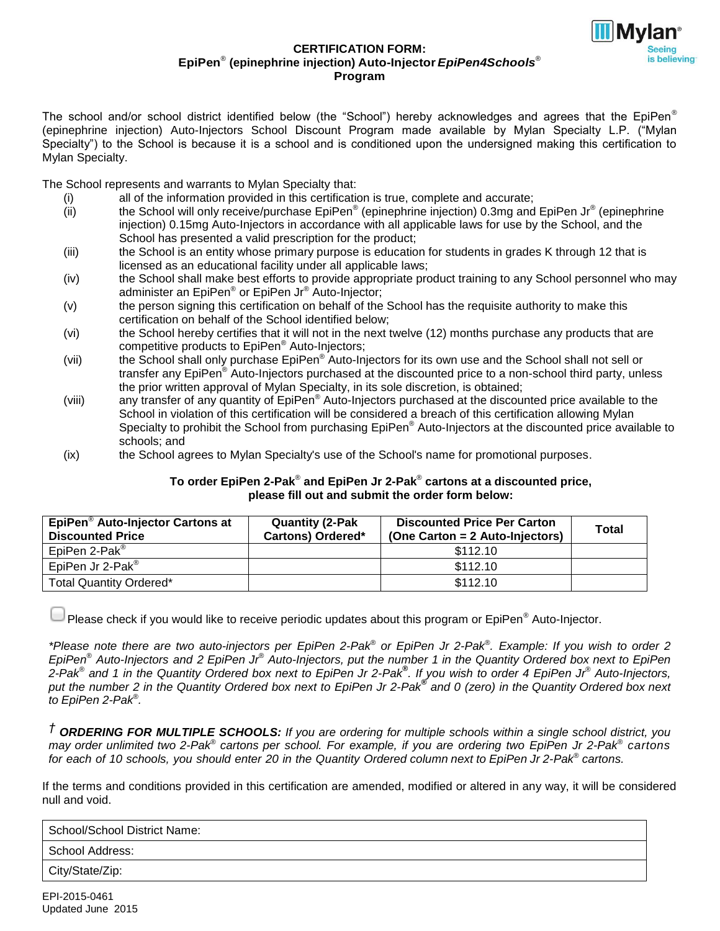

#### **CERTIFICATION FORM: EpiPen** ® **(epinephrine injection) Auto-Injector***EpiPen4Schools* ® **Program**

The school and/or school district identified below (the "School") hereby acknowledges and agrees that the EpiPen® (epinephrine injection) Auto-Injectors School Discount Program made available by Mylan Specialty L.P. ("Mylan Specialty") to the School is because it is a school and is conditioned upon the undersigned making this certification to Mylan Specialty.

The School represents and warrants to Mylan Specialty that:

- (i) all of the information provided in this certification is true, complete and accurate;
- (ii) the School will only receive/purchase  $Epi^{\circ}$  (epinephrine injection) 0.3mg and EpiPen Jr<sup>®</sup> (epinephrine injection) 0.15mg Auto-Injectors in accordance with all applicable laws for use by the School, and the School has presented a valid prescription for the product;
- (iii) the School is an entity whose primary purpose is education for students in grades K through 12 that is licensed as an educational facility under all applicable laws;
- (iv) the School shall make best efforts to provide appropriate product training to any School personnel who may administer an EpiPen® or EpiPen Jr® Auto-Injector;
- (v) the person signing this certification on behalf of the School has the requisite authority to make this certification on behalf of the School identified below;
- (vi) the School hereby certifies that it will not in the next twelve (12) months purchase any products that are competitive products to EpiPen® Auto-Injectors;
- (vii) the School shall only purchase EpiPen® Auto-Injectors for its own use and the School shall not sell or transfer any EpiPen® Auto-Injectors purchased at the discounted price to a non-school third party, unless the prior written approval of Mylan Specialty, in its sole discretion, is obtained;
- (viii) any transfer of any quantity of EpiPen<sup>®</sup> Auto-Injectors purchased at the discounted price available to the School in violation of this certification will be considered a breach of this certification allowing Mylan Specialty to prohibit the School from purchasing EpiPen® Auto-Injectors at the discounted price available to schools; and
- (ix) the School agrees to Mylan Specialty's use of the School's name for promotional purposes.

#### **To order EpiPen 2-Pak**® **and EpiPen Jr 2-Pak**® **cartons at a discounted price, please fill out and submit the order form below:**

| EpiPen <sup>®</sup> Auto-Injector Cartons at<br><b>Discounted Price</b> | <b>Quantity (2-Pak</b><br><b>Cartons) Ordered*</b> | <b>Discounted Price Per Carton</b><br>(One Carton = 2 Auto-Injectors) | <b>Total</b> |
|-------------------------------------------------------------------------|----------------------------------------------------|-----------------------------------------------------------------------|--------------|
| EpiPen 2-Pak <sup>®</sup>                                               |                                                    | \$112.10                                                              |              |
| EpiPen Jr 2-Pak <sup>®</sup>                                            |                                                    | \$112.10                                                              |              |
| Total Quantity Ordered*                                                 |                                                    | \$112.10                                                              |              |

Please check if you would like to receive periodic updates about this program or EpiPen<sup>®</sup> Auto-Injector.

\*Please note there are two auto-injectors per EpiPen 2-Pak® or EpiPen Jr 2-Pak®. Example: If you wish to order 2 EpiPen® Auto-Injectors and 2 EpiPen Jr® Auto-Injectors, put the number 1 in the Quantity Ordered box next to EpiPen 2-Pak® and 1 in the Quantity Ordered box next to EpiPen Jr 2-Pak®. If you wish to order 4 EpiPen Jr® Auto-Injectors, put the number 2 in the Quantity Ordered box next to EpiPen Jr 2-Pak® and 0 (zero) in the Quantity Ordered box next *to EpiPen 2-Pak*® *.*

<sup>†</sup> ORDERING FOR MULTIPLE SCHOOLS: If you are ordering for multiple schools within a single school district, you may order unlimited two 2-Pak<sup>®</sup> cartons per school. For example, if you are ordering two EpiPen Jr 2-Pak<sup>®</sup> cartons for each of 10 schools, you should enter 20 in the Quantity Ordered column next to EpiPen Jr 2-Pak® cartons.

If the terms and conditions provided in this certification are amended, modified or altered in any way, it will be considered null and void.

| School/School District Name: |  |
|------------------------------|--|
| l School Address:            |  |
| City/State/Zip:              |  |